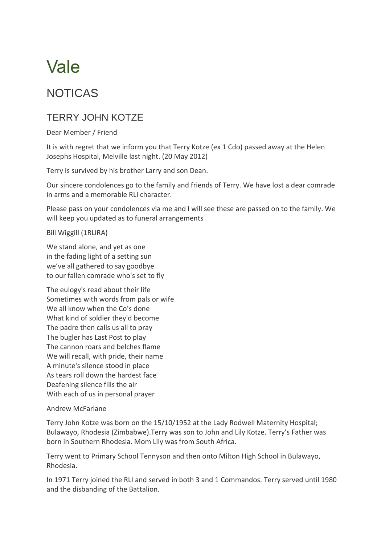# Vale

## NOTICAS

### TERRY JOHN KOTZE

Dear Member / Friend

It is with regret that we inform you that Terry Kotze (ex 1 Cdo) passed away at the Helen Josephs Hospital, Melville last night. (20 May 2012)

Terry is survived by his brother Larry and son Dean.

Our sincere condolences go to the family and friends of Terry. We have lost a dear comrade in arms and a memorable RLI character.

Please pass on your condolences via me and I will see these are passed on to the family. We will keep you updated as to funeral arrangements

Bill Wiggill (1RLIRA)

We stand alone, and yet as one in the fading light of a setting sun we've all gathered to say goodbye to our fallen comrade who's set to fly

The eulogy's read about their life Sometimes with words from pals or wife We all know when the Co's done What kind of soldier they'd become The padre then calls us all to pray The bugler has Last Post to play The cannon roars and belches flame We will recall, with pride, their name A minute's silence stood in place As tears roll down the hardest face Deafening silence fills the air With each of us in personal prayer

#### Andrew McFarlane

Terry John Kotze was born on the 15/10/1952 at the Lady Rodwell Maternity Hospital; Bulawayo, Rhodesia (Zimbabwe).Terry was son to John and Lily Kotze. Terry's Father was born in Southern Rhodesia. Mom Lily was from South Africa.

Terry went to Primary School Tennyson and then onto Milton High School in Bulawayo, Rhodesia.

In 1971 Terry joined the RLI and served in both 3 and 1 Commandos. Terry served until 1980 and the disbanding of the Battalion.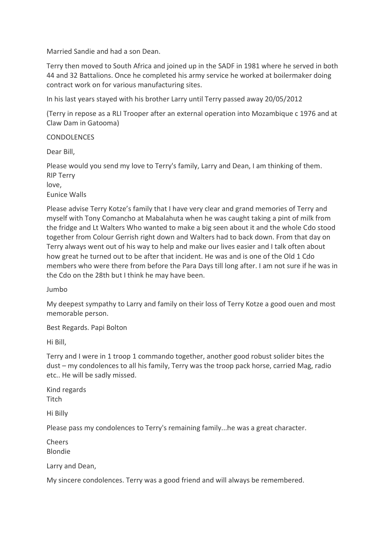Married Sandie and had a son Dean.

Terry then moved to South Africa and joined up in the SADF in 1981 where he served in both 44 and 32 Battalions. Once he completed his army service he worked at boilermaker doing contract work on for various manufacturing sites.

In his last years stayed with his brother Larry until Terry passed away 20/05/2012

(Terry in repose as a RLI Trooper after an external operation into Mozambique c 1976 and at Claw Dam in Gatooma)

#### CONDOLENCES

Dear Bill,

Please would you send my love to Terry's family, Larry and Dean, I am thinking of them. RIP Terry

love,

Eunice Walls

Please advise Terry Kotze's family that I have very clear and grand memories of Terry and myself with Tony Comancho at Mabalahuta when he was caught taking a pint of milk from the fridge and Lt Walters Who wanted to make a big seen about it and the whole Cdo stood together from Colour Gerrish right down and Walters had to back down. From that day on Terry always went out of his way to help and make our lives easier and I talk often about how great he turned out to be after that incident. He was and is one of the Old 1 Cdo members who were there from before the Para Days till long after. I am not sure if he was in the Cdo on the 28th but I think he may have been.

Jumbo

My deepest sympathy to Larry and family on their loss of Terry Kotze a good ouen and most memorable person.

Best Regards. Papi Bolton

Hi Bill,

Terry and I were in 1 troop 1 commando together, another good robust solider bites the dust – my condolences to all his family, Terry was the troop pack horse, carried Mag, radio etc.. He will be sadly missed.

Kind regards **Titch** 

Hi Billy

Please pass my condolences to Terry's remaining family...he was a great character.

Cheers Blondie

Larry and Dean,

My sincere condolences. Terry was a good friend and will always be remembered.